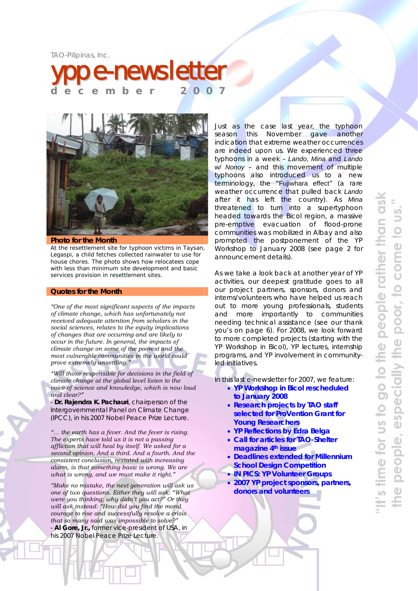TAO-Pilipinas, Inc.





#### **Photo for the Month**

At the resettlement site for typhoon victims in Taysan, Legaspi, a child fetches collected rainwater to use for house chores. The photo shows how relocatees cope with less than minimum site development and basic services provision in resettlement sites.

### **Quotes for the Month**

*"One of the most significant aspects of the impacts of climate change, which has unfortunately not received adequate attention from scholars in the social sciences, relates to the equity implications of changes that are occurring and are likely to occur in the future. In general, the impacts of climate change on some of the poorest and the most vulnerable communities in the world could prove extremely unsettling."* 

*"Will those responsible for decisions in the field of climate change at the global level listen to the voice of science and knowledge, which is now loud and clear?"* 

- **Dr. Rajendra K. Pachauri**, chairperson of the Intergovernmental Panel on Climate Change (IPCC), in his 2007 Nobel Peace Prize Lecture.

*"… the earth has a fever. And the fever is rising. The experts have told us it is not a passing affliction that will heal by itself. We asked for a second opinion. And a third. And a fourth. And the consistent conclusion, restated with increasing alarm, is that something basic is wrong. We are what is wrong, and we must make it right."* 

*"Make no mistake, the next generation will ask us one of two questions. Either they will ask: "What were you thinking; why didn't you act?" Or they will ask instead: "How did you find the moral courage to rise and successfully resolve a crisis that so many said was impossible to solve?"*  - **Al Gore, Jr.,** former vice-president of USA, in his 2007 Nobel Peace Prize Lecture.

Just as the case last year, the typhoon season this November gave another indication that extreme weather occurrences are indeed upon us. We experienced three typhoons in a week – *Lando*, *Mina* and *Lando* w/ *Nonoy* – and this movement of multiple typhoons also introduced us to a new terminology, the "Fujiwhara effect" (a rare weather occurrence that pulled back *Lando* after it has left the country). As *Mina* threatened to turn into a supertyphoon headed towards the Bicol region, a massive pre-emptive evacuation of flood-prone communities was mobilized in Albay and also prompted the postponement of the YP Workshop to January 2008 *(see page 2 for announcement details*).

As we take a look back at another year of YP activities, our deepest gratitude goes to all our project partners, sponsors, donors and interns/volunteers who have helped us reach out to more young professionals, students and more importantly to communities needing technical assistance *(see our thank you's on page 6*). For 2008, we look forward to more completed projects (starting with the YP Workshop in Bicol), YP lectures, internship programs, and YP involvement in communityled initiatives.

In this last e-newsletter for 2007, we feature:

- **YP Workshop in Bicol rescheduled to January 2008**
- **Research projects by TAO staff selected for ProVention Grant for Young Researchers**
- **YP Reflections by Edra Belga**
- **Call for articles for TAO-Shelter magazine 4th issue**
- **Deadlines extended for Millennium School Design Competition**
- **IN PICS: YP Volunteer Groups**
- **2007 YP project sponsors, partners, donors and volunteers**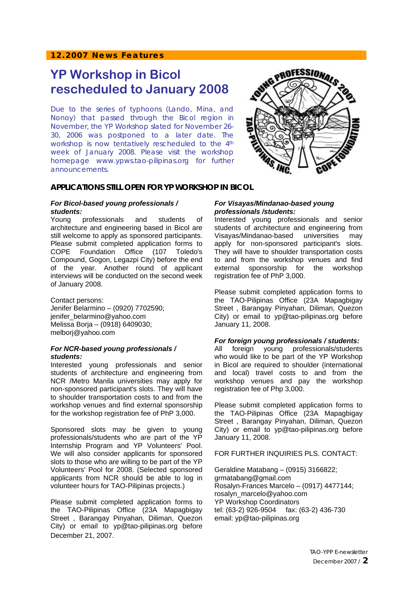# **12.2007 News Features**

# **YP Workshop in Bicol rescheduled to January 2008**

Due to the series of typhoons (*Lando*, *Mina*, and *Nonoy*) that passed through the Bicol region in November, the YP Workshop slated for November 26- 30, 2006 was postponed to a later date. The workshop is now tentatively rescheduled to the 4<sup>th</sup> week of January 2008. Please visit the workshop homepage www.ypws.tao-pilipinas.org for further announcements.



# **APPLICATIONS STILL OPEN FOR YP WORKSHOP IN BICOL**

# *For Bicol-based young professionals / students:*

Young professionals and students of architecture and engineering based in Bicol are still welcome to apply as sponsored participants. Please submit completed application forms to COPE Foundation Office (107 Toledo's Compound, Gogon, Legazpi City) before the end of the year. Another round of applicant interviews will be conducted on the second week of January 2008.

Contact persons: Jenifer Belarmino – (0920) 7702590; jenifer\_belarmino@yahoo.com Melissa Borja – (0918) 6409030; melborj@yahoo.com

# *For NCR-based young professionals / students:*

Interested young professionals and senior students of architecture and engineering from NCR /Metro Manila universities may apply for non-sponsored participant's slots. They will have to shoulder transportation costs to and from the workshop venues and find external sponsorship for the workshop registration fee of PhP 3,000.

Sponsored slots may be given to young professionals/students who are part of the YP Internship Program and YP Volunteers' Pool. We will also consider applicants for sponsored slots to those who are willing to be part of the YP Volunteers' Pool for 2008. (Selected sponsored applicants from NCR should be able to log in volunteer hours for TAO-Pilipinas projects.)

Please submit completed application forms to the TAO-Pilipinas Office (23A Mapagbigay Street , Barangay Pinyahan, Diliman, Quezon City) or email to yp@tao-pilipinas.org before December 21, 2007.

## *For Visayas/Mindanao-based young professionals /students:*

Interested young professionals and senior students of architecture and engineering from Visayas/Mindanao-based universities may apply for non-sponsored participant's slots. They will have to shoulder transportation costs to and from the workshop venues and find external sponsorship for the workshop registration fee of PhP 3,000.

Please submit completed application forms to the TAO-Pilipinas Office (23A Mapagbigay Street , Barangay Pinyahan, Diliman, Quezon City) or email to yp@tao-pilipinas.org before January 11, 2008.

# *For foreign young professionals / students:*

All foreign young professionals/students who would like to be part of the YP Workshop in Bicol are required to shoulder (international and local) travel costs to and from the workshop venues and pay the workshop registration fee of Php 3,000.

Please submit completed application forms to the TAO-Pilipinas Office (23A Mapagbigay Street , Barangay Pinyahan, Diliman, Quezon City) or email to yp@tao-pilipinas.org before January 11, 2008.

# FOR FURTHER INQUIRIES PLS. CONTACT:

Geraldine Matabang – (0915) 3166822; grmatabang@gmail.com Rosalyn-Frances Marcelo – (0917) 4477144; rosalyn\_marcelo@yahoo.com YP Workshop Coordinators tel: (63-2) 926-9504 fax: (63-2) 436-730 email: yp@tao-pilipinas.org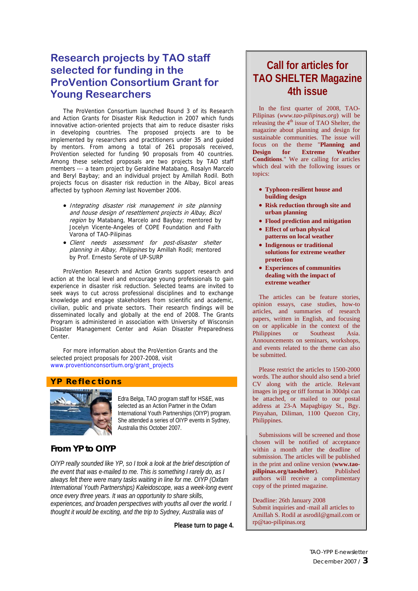# **Research projects by TAO staff selected for funding in the ProVention Consortium Grant for Young Researchers**

The ProVention Consortium launched Round 3 of its Research and Action Grants for Disaster Risk Reduction in 2007 which funds innovative action-oriented projects that aim to reduce disaster risks in developing countries. The proposed projects are to be implemented by researchers and practitioners under 35 and guided by mentors. From among a total of 261 proposals received, ProVention selected for funding 90 proposals from 40 countries. Among these selected proposals are two projects by TAO staff members --- a team project by Geraldine Matabang, Rosalyn Marcelo and Beryl Baybay; and an individual project by Amillah Rodil. Both projects focus on disaster risk reduction in the Albay, Bicol areas affected by typhoon Reming last November 2006.

- Integrating disaster risk management in site planning and house design of resettlement projects in Albay, Bicol region by Matabang, Marcelo and Baybay; mentored by Jocelyn Vicente-Angeles of COPE Foundation and Faith Varona of TAO-Pilipinas
- Client needs assessment for post-disaster shelter planning in Albay, Philippines by Amillah Rodil; mentored by Prof. Ernesto Serote of UP-SURP

ProVention Research and Action Grants support research and action at the local level and encourage young professionals to gain experience in disaster risk reduction. Selected teams are invited to seek ways to cut across professional disciplines and to exchange knowledge and engage stakeholders from scientific and academic, civilian, public and private sectors. Their research findings will be disseminated locally and globally at the end of 2008. The Grants Program is administered in association with University of Wisconsin Disaster Management Center and Asian Disaster Preparedness Center

For more information about the ProVention Grants and the selected project proposals for 2007-2008, visit www.proventionconsortium.org/grant\_projects

# **YP Reflections**



Edra Belga, TAO program staff for HS&E, was selected as an Action Partner in the Oxfam International Youth Partnerships (OIYP) program. She attended a series of OIYP events in Sydney, Australia this October 2007.

# *From YP to OIYP*

*OIYP really sounded like YP, so I took a look at the brief description of the event that was e-mailed to me. This is something I rarely do, as I always felt there were many tasks waiting in line for me. OIYP (Oxfam International Youth Partnerships) Kaleidoscope, was a week-long event once every three years. It was an opportunity to share skills, experiences, and broaden perspectives with youths all over the world. I thought it would be exciting, and the trip to Sydney, Australia was of* 

**Please turn to page 4.** 

# **Call for articles for TAO SHELTER Magazine 4th issue**

In the first quarter of 2008, TAO-Pilipinas (*www.tao-pilipinas.org*) will be releasing the  $4<sup>th</sup>$  issue of TAO Shelter, the magazine about planning and design for sustainable communities. The issue will focus on the theme "**Planning and Design for Extreme Weather Conditions**." We are calling for articles which deal with the following issues or topics:

- **Typhoon-resilient house and building design**
- **Risk reduction through site and urban planning**
- **Flood prediction and mitigation**
- **Effect of urban physical patterns on local weather**
- **Indigenous or traditional solutions for extreme weather protection**
- **Experiences of communities dealing with the impact of extreme weather**

The articles can be feature stories, opinion essays, case studies, how-to articles, and summaries of research papers, written in English, and focusing on or applicable in the context of the Philippines or Southeast Asia. Announcements on seminars, workshops, and events related to the theme can also be submitted.

Please restrict the articles to 1500-2000 words. The author should also send a brief CV along with the article. Relevant images in jpeg or tiff format in 300dpi can be attached, or mailed to our postal address at 23-A Mapagbigay St., Bgy. Pinyahan, Diliman, 1100 Quezon City, Philippines.

Submissions will be screened and those chosen will be notified of acceptance within a month after the deadline of submission. The articles will be published in the print and online version (**www.tao-**<br> **published** Published  $pilipinas.org/taoshelter)$ . authors will receive a complimentary copy of the printed magazine.

Deadline: 26th January 2008 Submit inquiries and -mail all articles to Amillah S. Rodil at asrodil@gmail.com or rp@tao-pilipinas.org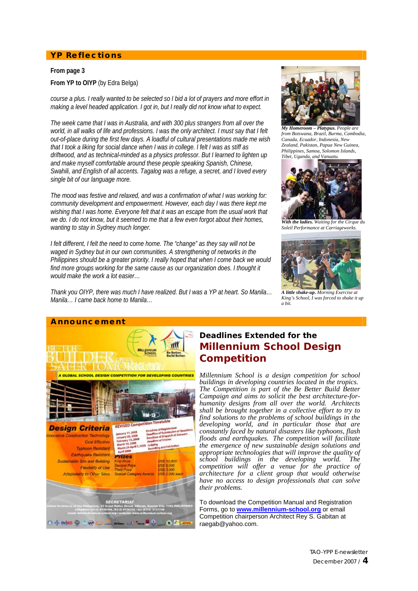# **YP Reflections**

#### **From page 3**

# **From YP to OIYP** (by Edra Belga)

*course a plus. I really wanted to be selected so I bid a lot of prayers and more effort in making a level headed application. I got in, but I really did not know what to expect.* 

*The week came that I was in Australia, and with 300 plus strangers from all over the world, in all walks of life and professions. I was the only architect. I must say that I felt out-of-place during the first few days. A loadful of cultural presentations made me wish that I took a liking for social dance when I was in college. I felt I was as stiff as driftwood, and as technical-minded as a physics professor. But I learned to lighten up and make myself comfortable around these people speaking Spanish, Chinese, Swahili, and English of all accents. Tagalog was a refuge, a secret, and I loved every single bit of our language more.* 

*The mood was festive and relaxed, and was a confirmation of what I was working for: community development and empowerment. However, each day I was there kept me wishing that I was home. Everyone felt that it was an escape from the usual work that we do. I do not know, but it seemed to me that a few even forgot about their homes, wanting to stay in Sydney much longer.* 

*I felt different, I felt the need to come home. The "change" as they say will not be waged in Sydney but in our own communities. A strengthening of networks in the Philippines should be a greater priority. I really hoped that when I come back we would*  find more groups working for the same cause as our organization does. I thought it *would make the work a lot easier…* 

*Thank you OIYP, there was much I have realized. But I was a YP at heart. So Manila… Manila… I came back home to Manila…*



*My Homeroom – Platypus. People are from Botswana, Brazil, Burma, Cambodia, Canada, Ecuador, Indonesia, New Zealand, Pakistan, Papua New Guinea, Philippines, Samoa, Solomon Islands, Tibet, Uganda, and Vanuatu.* 



*With the ladies. Waiting for the Cirque du Soleil Performance at Carriageworks.*



*A little shake-up. Morning Exercise at King's School, I was forced to shake it up a bit.*



# **Deadlines Extended for the Millennium School Design Competition**

*Millennium School is a design competition for school buildings in developing countries located in the tropics. The Competition is part of the Be Better Build Better Campaign and aims to solicit the best architecture-forhumanity designs from all over the world. Architects shall be brought together in a collective effort to try to find solutions to the problems of school buildings in the developing world, and in particular those that are constantly faced by natural disasters like typhoons, flash floods and earthquakes. The competition will facilitate the emergence of new sustainable design solutions and appropriate technologies that will improve the quality of school buildings in the developing world. The competition will offer a venue for the practice of architecture for a client group that would otherwise have no access to design professionals that can solve their problems.* 

To download the Competition Manual and Registration Forms, go to **www.millennium-school.org** or email Competition chairperson Architect Rey S. Gabitan at raegab@yahoo.com.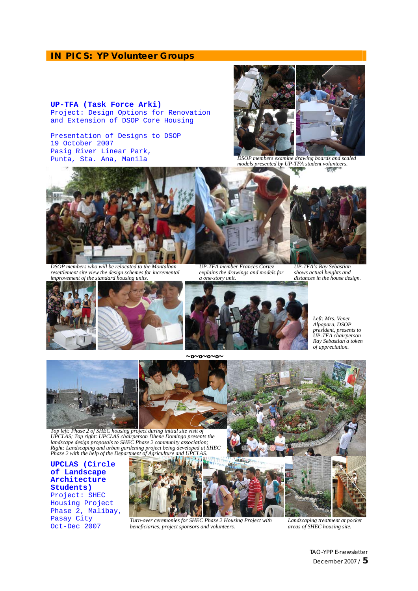# **IN PICS: YP Volunteer Groups**

### **UP-TFA (Task Force Arki)**  Project: Design Options for Renovation and Extension of DSOP Core Housing

Presentation of Designs to DSOP 19 October 2007 Pasig River Linear Park, Punta, Sta. Ana, Manila *DSOP members examine drawing boards and scaled* 



*models presented by UP-TFA student volunteers.* 



*DSOP members who will be relocated to the Montalban resettlement site view the design schemes for incremental improvement of the standard housing units.* 

*UP-TFA member Frances Cortez explains the drawings and models for a one-story unit.* 





*Left: Mrs. Vener Alpapara, DSOP president, presents to UP-TFA chairperson Ray Sebastian a token of appreciation.* 

*shows actual heights and* 



*UPCLAS; Top right: UPCLAS chairperson Dhene Domingo presents the*  landscape design proposals to SHEC Phase 2 community association;<br>Right: Landscaping and urban gardening project being developed at SHEC<br>Phase 2 with the help of the Department of Agriculture and UPCLAS.

**UPCLAS (Circle of Landscape Architecture Students)**  Project: SHEC Housing Project Phase 2, Malibay, Pasay City Oct-Dec 2007



*Turn-over ceremonies for SHEC Phase 2 Housing Project with beneficiaries, project sponsors and volunteers.*

*Landscaping treatment at pocket areas of SHEC housing site.* 

TAO-YPP E-newsletter December 2007 / **5**